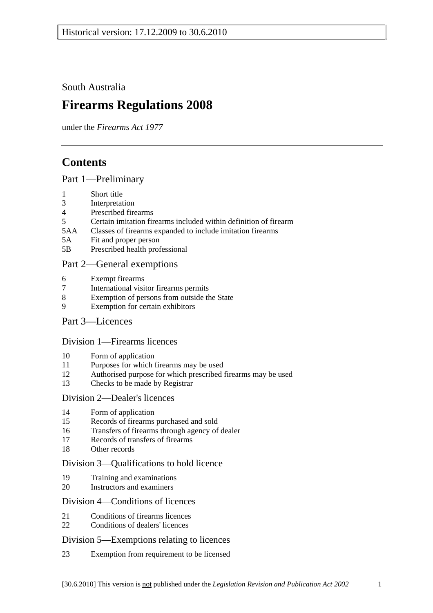South Australia

# **Firearms Regulations 2008**

under the *Firearms Act 1977*

# **Contents**

## Part 1—Preliminary

- 1 Short title
- 3 Interpretation
- 4 Prescribed firearms
- 5 Certain imitation firearms included within definition of firearm
- 5AA Classes of firearms expanded to include imitation firearms
- 5A Fit and proper person
- 5B Prescribed health professional

## Part 2—General exemptions

- 6 Exempt firearms
- 7 International visitor firearms permits
- 8 Exemption of persons from outside the State
- 9 Exemption for certain exhibitors
- Part 3—Licences

## Division 1—Firearms licences

- 10 Form of application
- 11 Purposes for which firearms may be used
- 12 Authorised purpose for which prescribed firearms may be used
- 13 Checks to be made by Registrar

## Division 2—Dealer's licences

- 14 Form of application
- 15 Records of firearms purchased and sold
- 16 Transfers of firearms through agency of dealer
- 17 Records of transfers of firearms
- 18 Other records

## Division 3—Qualifications to hold licence

- 19 Training and examinations
- 20 Instructors and examiners

## Division 4—Conditions of licences

- 21 Conditions of firearms licences
- 22 Conditions of dealers' licences

## Division 5—Exemptions relating to licences

23 Exemption from requirement to be licensed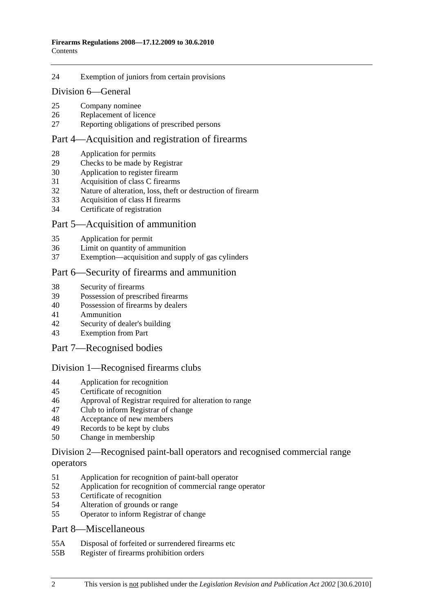#### 24 Exemption of juniors from certain provisions

#### Division 6—General

- 25 Company nominee
- 26 Replacement of licence
- 27 Reporting obligations of prescribed persons

#### Part 4—Acquisition and registration of firearms

- 28 Application for permits
- 29 Checks to be made by Registrar
- 30 Application to register firearm
- 31 Acquisition of class C firearms
- 32 Nature of alteration, loss, theft or destruction of firearm
- 33 Acquisition of class H firearms
- 34 Certificate of registration

#### Part 5—Acquisition of ammunition

- 35 Application for permit
- 36 Limit on quantity of ammunition
- 37 Exemption—acquisition and supply of gas cylinders

#### Part 6—Security of firearms and ammunition

- 38 Security of firearms
- 39 Possession of prescribed firearms
- 40 Possession of firearms by dealers
- 41 Ammunition
- 42 Security of dealer's building
- 43 Exemption from Part

#### Part 7—Recognised bodies

#### Division 1—Recognised firearms clubs

- 44 Application for recognition
- 45 Certificate of recognition
- 46 Approval of Registrar required for alteration to range
- 47 Club to inform Registrar of change
- 48 Acceptance of new members
- 49 Records to be kept by clubs
- 50 Change in membership

#### Division 2—Recognised paint-ball operators and recognised commercial range operators

- 51 Application for recognition of paint-ball operator
- 52 Application for recognition of commercial range operator
- 53 Certificate of recognition
- 54 Alteration of grounds or range
- 55 Operator to inform Registrar of change

#### Part 8—Miscellaneous

- 55A Disposal of forfeited or surrendered firearms etc
- 55B Register of firearms prohibition orders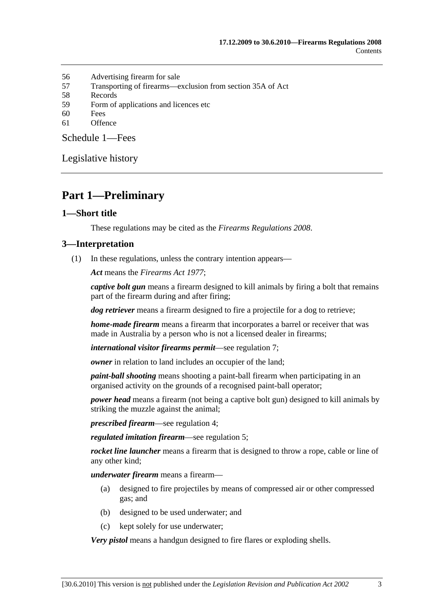- 56 Advertising firearm for sale
- 57 Transporting of firearms—exclusion from section 35A of Act
- 58 Records
- 59 Form of applications and licences etc
- 60 Fees
- 61 Offence

Schedule 1—Fees

Legislative history

## **Part 1—Preliminary**

#### **1—Short title**

These regulations may be cited as the *Firearms Regulations 2008*.

#### **3—Interpretation**

(1) In these regulations, unless the contrary intention appears—

*Act* means the *Firearms Act 1977*;

*captive bolt gun* means a firearm designed to kill animals by firing a bolt that remains part of the firearm during and after firing;

*dog retriever* means a firearm designed to fire a projectile for a dog to retrieve;

*home-made firearm* means a firearm that incorporates a barrel or receiver that was made in Australia by a person who is not a licensed dealer in firearms;

*international visitor firearms permit*—see regulation 7;

*owner* in relation to land includes an occupier of the land;

*paint-ball shooting* means shooting a paint-ball firearm when participating in an organised activity on the grounds of a recognised paint-ball operator;

*power head* means a firearm (not being a captive bolt gun) designed to kill animals by striking the muzzle against the animal;

*prescribed firearm*—see regulation 4;

*regulated imitation firearm*—see regulation 5;

*rocket line launcher* means a firearm that is designed to throw a rope, cable or line of any other kind;

*underwater firearm* means a firearm—

- (a) designed to fire projectiles by means of compressed air or other compressed gas; and
- (b) designed to be used underwater; and
- (c) kept solely for use underwater;

*Very pistol* means a handgun designed to fire flares or exploding shells.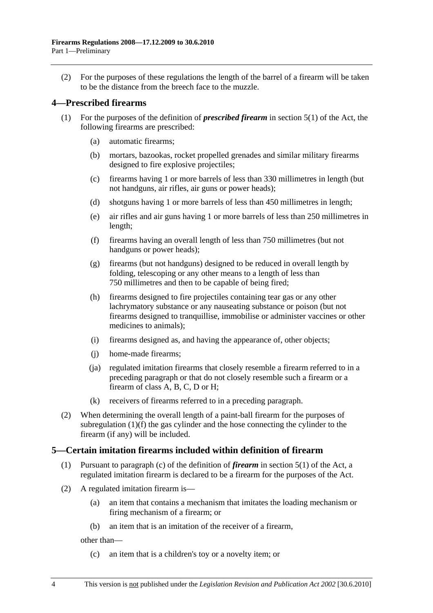(2) For the purposes of these regulations the length of the barrel of a firearm will be taken to be the distance from the breech face to the muzzle.

## **4—Prescribed firearms**

- (1) For the purposes of the definition of *prescribed firearm* in section 5(1) of the Act, the following firearms are prescribed:
	- (a) automatic firearms;
	- (b) mortars, bazookas, rocket propelled grenades and similar military firearms designed to fire explosive projectiles;
	- (c) firearms having 1 or more barrels of less than 330 millimetres in length (but not handguns, air rifles, air guns or power heads);
	- (d) shotguns having 1 or more barrels of less than 450 millimetres in length;
	- (e) air rifles and air guns having 1 or more barrels of less than 250 millimetres in length;
	- (f) firearms having an overall length of less than 750 millimetres (but not handguns or power heads);
	- (g) firearms (but not handguns) designed to be reduced in overall length by folding, telescoping or any other means to a length of less than 750 millimetres and then to be capable of being fired;
	- (h) firearms designed to fire projectiles containing tear gas or any other lachrymatory substance or any nauseating substance or poison (but not firearms designed to tranquillise, immobilise or administer vaccines or other medicines to animals);
	- (i) firearms designed as, and having the appearance of, other objects;
	- (j) home-made firearms;
	- (ja) regulated imitation firearms that closely resemble a firearm referred to in a preceding paragraph or that do not closely resemble such a firearm or a firearm of class A, B, C, D or H;
	- (k) receivers of firearms referred to in a preceding paragraph.
- (2) When determining the overall length of a paint-ball firearm for the purposes of subregulation (1)(f) the gas cylinder and the hose connecting the cylinder to the firearm (if any) will be included.

## **5—Certain imitation firearms included within definition of firearm**

- (1) Pursuant to paragraph (c) of the definition of *firearm* in section 5(1) of the Act, a regulated imitation firearm is declared to be a firearm for the purposes of the Act.
- (2) A regulated imitation firearm is—
	- (a) an item that contains a mechanism that imitates the loading mechanism or firing mechanism of a firearm; or
	- (b) an item that is an imitation of the receiver of a firearm,

other than—

(c) an item that is a children's toy or a novelty item; or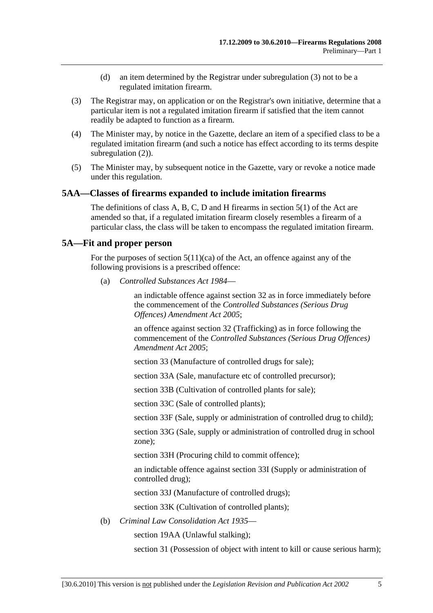- (d) an item determined by the Registrar under subregulation (3) not to be a regulated imitation firearm.
- (3) The Registrar may, on application or on the Registrar's own initiative, determine that a particular item is not a regulated imitation firearm if satisfied that the item cannot readily be adapted to function as a firearm.
- (4) The Minister may, by notice in the Gazette, declare an item of a specified class to be a regulated imitation firearm (and such a notice has effect according to its terms despite subregulation (2)).
- (5) The Minister may, by subsequent notice in the Gazette, vary or revoke a notice made under this regulation.

#### **5AA—Classes of firearms expanded to include imitation firearms**

The definitions of class A, B, C, D and H firearms in section 5(1) of the Act are amended so that, if a regulated imitation firearm closely resembles a firearm of a particular class, the class will be taken to encompass the regulated imitation firearm.

#### **5A—Fit and proper person**

For the purposes of section  $5(11)(ca)$  of the Act, an offence against any of the following provisions is a prescribed offence:

(a) *Controlled Substances Act 1984*—

an indictable offence against section 32 as in force immediately before the commencement of the *Controlled Substances (Serious Drug Offences) Amendment Act 2005*;

an offence against section 32 (Trafficking) as in force following the commencement of the *Controlled Substances (Serious Drug Offences) Amendment Act 2005*;

section 33 (Manufacture of controlled drugs for sale);

section 33A (Sale, manufacture etc of controlled precursor);

section 33B (Cultivation of controlled plants for sale);

section 33C (Sale of controlled plants);

section 33F (Sale, supply or administration of controlled drug to child);

section 33G (Sale, supply or administration of controlled drug in school zone);

section 33H (Procuring child to commit offence);

an indictable offence against section 33I (Supply or administration of controlled drug);

section 33J (Manufacture of controlled drugs);

section 33K (Cultivation of controlled plants);

(b) *Criminal Law Consolidation Act 1935*—

section 19AA (Unlawful stalking);

section 31 (Possession of object with intent to kill or cause serious harm);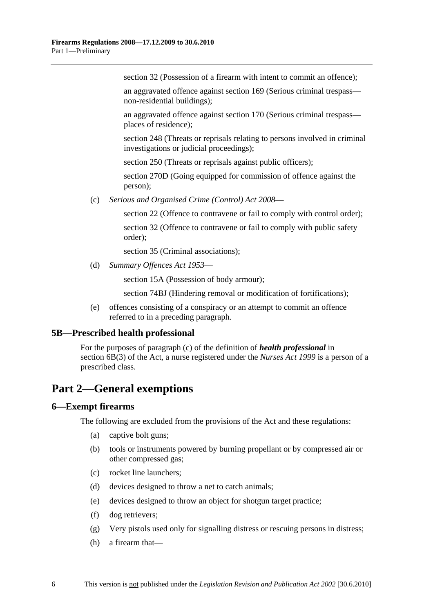section 32 (Possession of a firearm with intent to commit an offence);

an aggravated offence against section 169 (Serious criminal trespass non-residential buildings);

an aggravated offence against section 170 (Serious criminal trespass places of residence);

section 248 (Threats or reprisals relating to persons involved in criminal investigations or judicial proceedings);

section 250 (Threats or reprisals against public officers);

section 270D (Going equipped for commission of offence against the person);

(c) *Serious and Organised Crime (Control) Act 2008*—

section 22 (Offence to contravene or fail to comply with control order);

section 32 (Offence to contravene or fail to comply with public safety order);

section 35 (Criminal associations):

(d) *Summary Offences Act 1953*—

section 15A (Possession of body armour);

section 74BJ (Hindering removal or modification of fortifications);

 (e) offences consisting of a conspiracy or an attempt to commit an offence referred to in a preceding paragraph.

#### **5B—Prescribed health professional**

For the purposes of paragraph (c) of the definition of *health professional* in section 6B(3) of the Act, a nurse registered under the *Nurses Act 1999* is a person of a prescribed class.

## **Part 2—General exemptions**

## **6—Exempt firearms**

The following are excluded from the provisions of the Act and these regulations:

- (a) captive bolt guns;
- (b) tools or instruments powered by burning propellant or by compressed air or other compressed gas;
- (c) rocket line launchers;
- (d) devices designed to throw a net to catch animals;
- (e) devices designed to throw an object for shotgun target practice;
- (f) dog retrievers;
- (g) Very pistols used only for signalling distress or rescuing persons in distress;
- (h) a firearm that—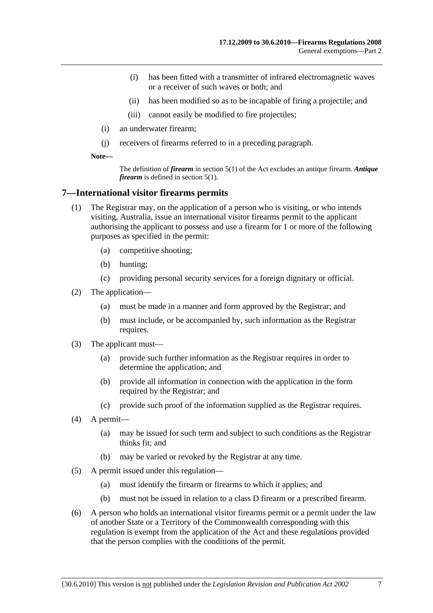- (i) has been fitted with a transmitter of infrared electromagnetic waves or a receiver of such waves or both; and
- (ii) has been modified so as to be incapable of firing a projectile; and
- (iii) cannot easily be modified to fire projectiles;
- (i) an underwater firearm;
- (j) receivers of firearms referred to in a preceding paragraph.

**Note—** 

The definition of *firearm* in section 5(1) of the Act excludes an antique firearm. *Antique firearm* is defined in section 5(1).

#### **7—International visitor firearms permits**

- (1) The Registrar may, on the application of a person who is visiting, or who intends visiting, Australia, issue an international visitor firearms permit to the applicant authorising the applicant to possess and use a firearm for 1 or more of the following purposes as specified in the permit:
	- (a) competitive shooting;
	- (b) hunting;
	- (c) providing personal security services for a foreign dignitary or official.
- (2) The application—
	- (a) must be made in a manner and form approved by the Registrar; and
	- (b) must include, or be accompanied by, such information as the Registrar requires.
- (3) The applicant must—
	- (a) provide such further information as the Registrar requires in order to determine the application; and
	- (b) provide all information in connection with the application in the form required by the Registrar; and
	- (c) provide such proof of the information supplied as the Registrar requires.
- (4) A permit—
	- (a) may be issued for such term and subject to such conditions as the Registrar thinks fit; and
	- (b) may be varied or revoked by the Registrar at any time.
- (5) A permit issued under this regulation—
	- (a) must identify the firearm or firearms to which it applies; and
	- (b) must not be issued in relation to a class D firearm or a prescribed firearm.
- (6) A person who holds an international visitor firearms permit or a permit under the law of another State or a Territory of the Commonwealth corresponding with this regulation is exempt from the application of the Act and these regulations provided that the person complies with the conditions of the permit.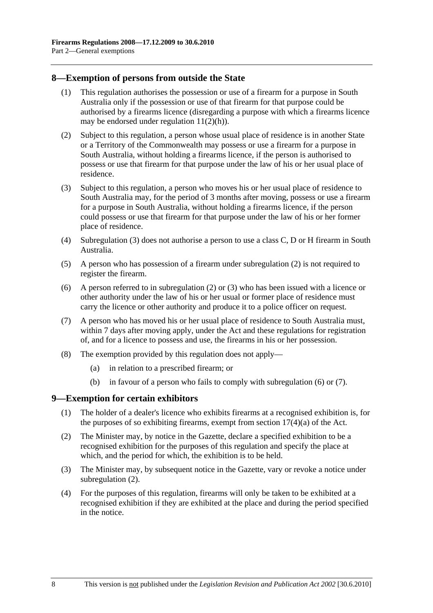#### **8—Exemption of persons from outside the State**

- (1) This regulation authorises the possession or use of a firearm for a purpose in South Australia only if the possession or use of that firearm for that purpose could be authorised by a firearms licence (disregarding a purpose with which a firearms licence may be endorsed under regulation  $11(2)(h)$ ).
- (2) Subject to this regulation, a person whose usual place of residence is in another State or a Territory of the Commonwealth may possess or use a firearm for a purpose in South Australia, without holding a firearms licence, if the person is authorised to possess or use that firearm for that purpose under the law of his or her usual place of residence.
- (3) Subject to this regulation, a person who moves his or her usual place of residence to South Australia may, for the period of 3 months after moving, possess or use a firearm for a purpose in South Australia, without holding a firearms licence, if the person could possess or use that firearm for that purpose under the law of his or her former place of residence.
- (4) Subregulation (3) does not authorise a person to use a class C, D or H firearm in South Australia.
- (5) A person who has possession of a firearm under subregulation (2) is not required to register the firearm.
- (6) A person referred to in subregulation (2) or (3) who has been issued with a licence or other authority under the law of his or her usual or former place of residence must carry the licence or other authority and produce it to a police officer on request.
- (7) A person who has moved his or her usual place of residence to South Australia must, within 7 days after moving apply, under the Act and these regulations for registration of, and for a licence to possess and use, the firearms in his or her possession.
- (8) The exemption provided by this regulation does not apply—
	- (a) in relation to a prescribed firearm; or
	- (b) in favour of a person who fails to comply with subregulation (6) or (7).

#### **9—Exemption for certain exhibitors**

- (1) The holder of a dealer's licence who exhibits firearms at a recognised exhibition is, for the purposes of so exhibiting firearms, exempt from section  $17(4)(a)$  of the Act.
- (2) The Minister may, by notice in the Gazette, declare a specified exhibition to be a recognised exhibition for the purposes of this regulation and specify the place at which, and the period for which, the exhibition is to be held.
- (3) The Minister may, by subsequent notice in the Gazette, vary or revoke a notice under subregulation (2).
- (4) For the purposes of this regulation, firearms will only be taken to be exhibited at a recognised exhibition if they are exhibited at the place and during the period specified in the notice.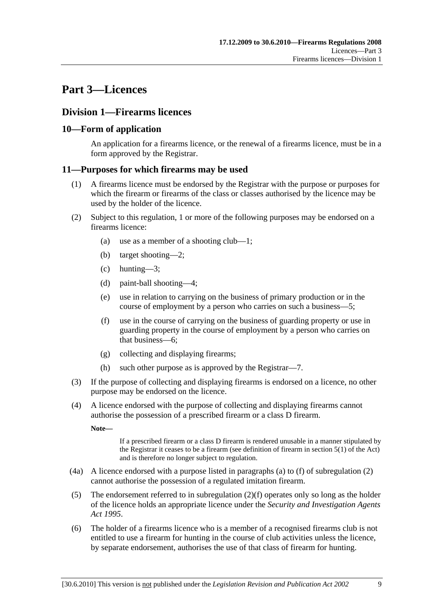# **Part 3—Licences**

## **Division 1—Firearms licences**

## **10—Form of application**

An application for a firearms licence, or the renewal of a firearms licence, must be in a form approved by the Registrar.

## **11—Purposes for which firearms may be used**

- (1) A firearms licence must be endorsed by the Registrar with the purpose or purposes for which the firearm or firearms of the class or classes authorised by the licence may be used by the holder of the licence.
- (2) Subject to this regulation, 1 or more of the following purposes may be endorsed on a firearms licence:
	- (a) use as a member of a shooting club—1;
	- (b) target shooting—2;
	- (c) hunting—3;
	- (d) paint-ball shooting—4;
	- (e) use in relation to carrying on the business of primary production or in the course of employment by a person who carries on such a business—5;
	- (f) use in the course of carrying on the business of guarding property or use in guarding property in the course of employment by a person who carries on that business—6;
	- (g) collecting and displaying firearms;
	- (h) such other purpose as is approved by the Registrar—7.
- (3) If the purpose of collecting and displaying firearms is endorsed on a licence, no other purpose may be endorsed on the licence.
- (4) A licence endorsed with the purpose of collecting and displaying firearms cannot authorise the possession of a prescribed firearm or a class D firearm.

**Note—** 

If a prescribed firearm or a class D firearm is rendered unusable in a manner stipulated by the Registrar it ceases to be a firearm (see definition of firearm in section 5(1) of the Act) and is therefore no longer subject to regulation.

- (4a) A licence endorsed with a purpose listed in paragraphs (a) to (f) of subregulation (2) cannot authorise the possession of a regulated imitation firearm.
- (5) The endorsement referred to in subregulation (2)(f) operates only so long as the holder of the licence holds an appropriate licence under the *Security and Investigation Agents Act 1995*.
- (6) The holder of a firearms licence who is a member of a recognised firearms club is not entitled to use a firearm for hunting in the course of club activities unless the licence, by separate endorsement, authorises the use of that class of firearm for hunting.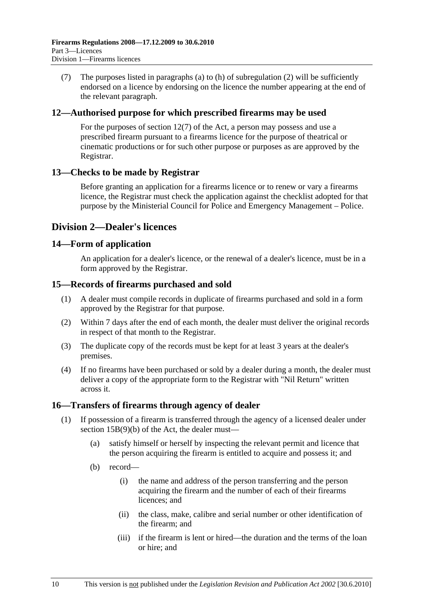(7) The purposes listed in paragraphs (a) to (h) of subregulation (2) will be sufficiently endorsed on a licence by endorsing on the licence the number appearing at the end of the relevant paragraph.

#### **12—Authorised purpose for which prescribed firearms may be used**

For the purposes of section 12(7) of the Act, a person may possess and use a prescribed firearm pursuant to a firearms licence for the purpose of theatrical or cinematic productions or for such other purpose or purposes as are approved by the Registrar.

#### **13—Checks to be made by Registrar**

Before granting an application for a firearms licence or to renew or vary a firearms licence, the Registrar must check the application against the checklist adopted for that purpose by the Ministerial Council for Police and Emergency Management – Police.

## **Division 2—Dealer's licences**

#### **14—Form of application**

An application for a dealer's licence, or the renewal of a dealer's licence, must be in a form approved by the Registrar.

#### **15—Records of firearms purchased and sold**

- (1) A dealer must compile records in duplicate of firearms purchased and sold in a form approved by the Registrar for that purpose.
- (2) Within 7 days after the end of each month, the dealer must deliver the original records in respect of that month to the Registrar.
- (3) The duplicate copy of the records must be kept for at least 3 years at the dealer's premises.
- (4) If no firearms have been purchased or sold by a dealer during a month, the dealer must deliver a copy of the appropriate form to the Registrar with "Nil Return" written across it.

## **16—Transfers of firearms through agency of dealer**

- (1) If possession of a firearm is transferred through the agency of a licensed dealer under section 15B(9)(b) of the Act, the dealer must—
	- (a) satisfy himself or herself by inspecting the relevant permit and licence that the person acquiring the firearm is entitled to acquire and possess it; and
	- (b) record—
		- (i) the name and address of the person transferring and the person acquiring the firearm and the number of each of their firearms licences; and
		- (ii) the class, make, calibre and serial number or other identification of the firearm; and
		- (iii) if the firearm is lent or hired—the duration and the terms of the loan or hire; and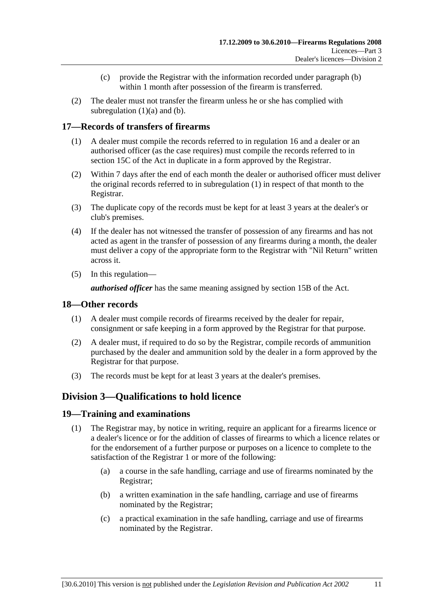- (c) provide the Registrar with the information recorded under paragraph (b) within 1 month after possession of the firearm is transferred.
- (2) The dealer must not transfer the firearm unless he or she has complied with subregulation  $(1)(a)$  and  $(b)$ .

## **17—Records of transfers of firearms**

- (1) A dealer must compile the records referred to in regulation 16 and a dealer or an authorised officer (as the case requires) must compile the records referred to in section 15C of the Act in duplicate in a form approved by the Registrar.
- (2) Within 7 days after the end of each month the dealer or authorised officer must deliver the original records referred to in subregulation (1) in respect of that month to the Registrar.
- (3) The duplicate copy of the records must be kept for at least 3 years at the dealer's or club's premises.
- (4) If the dealer has not witnessed the transfer of possession of any firearms and has not acted as agent in the transfer of possession of any firearms during a month, the dealer must deliver a copy of the appropriate form to the Registrar with "Nil Return" written across it.
- (5) In this regulation—

*authorised officer* has the same meaning assigned by section 15B of the Act.

## **18—Other records**

- (1) A dealer must compile records of firearms received by the dealer for repair, consignment or safe keeping in a form approved by the Registrar for that purpose.
- (2) A dealer must, if required to do so by the Registrar, compile records of ammunition purchased by the dealer and ammunition sold by the dealer in a form approved by the Registrar for that purpose.
- (3) The records must be kept for at least 3 years at the dealer's premises.

## **Division 3—Qualifications to hold licence**

## **19—Training and examinations**

- (1) The Registrar may, by notice in writing, require an applicant for a firearms licence or a dealer's licence or for the addition of classes of firearms to which a licence relates or for the endorsement of a further purpose or purposes on a licence to complete to the satisfaction of the Registrar 1 or more of the following:
	- (a) a course in the safe handling, carriage and use of firearms nominated by the Registrar;
	- (b) a written examination in the safe handling, carriage and use of firearms nominated by the Registrar;
	- (c) a practical examination in the safe handling, carriage and use of firearms nominated by the Registrar.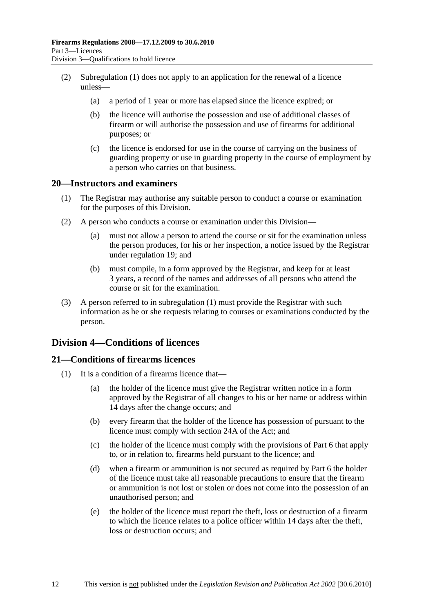- (2) Subregulation (1) does not apply to an application for the renewal of a licence unless—
	- (a) a period of 1 year or more has elapsed since the licence expired; or
	- (b) the licence will authorise the possession and use of additional classes of firearm or will authorise the possession and use of firearms for additional purposes; or
	- (c) the licence is endorsed for use in the course of carrying on the business of guarding property or use in guarding property in the course of employment by a person who carries on that business.

#### **20—Instructors and examiners**

- (1) The Registrar may authorise any suitable person to conduct a course or examination for the purposes of this Division.
- (2) A person who conducts a course or examination under this Division—
	- (a) must not allow a person to attend the course or sit for the examination unless the person produces, for his or her inspection, a notice issued by the Registrar under regulation 19; and
	- (b) must compile, in a form approved by the Registrar, and keep for at least 3 years, a record of the names and addresses of all persons who attend the course or sit for the examination.
- (3) A person referred to in subregulation (1) must provide the Registrar with such information as he or she requests relating to courses or examinations conducted by the person.

## **Division 4—Conditions of licences**

## **21—Conditions of firearms licences**

- (1) It is a condition of a firearms licence that—
	- (a) the holder of the licence must give the Registrar written notice in a form approved by the Registrar of all changes to his or her name or address within 14 days after the change occurs; and
	- (b) every firearm that the holder of the licence has possession of pursuant to the licence must comply with section 24A of the Act; and
	- (c) the holder of the licence must comply with the provisions of Part 6 that apply to, or in relation to, firearms held pursuant to the licence; and
	- (d) when a firearm or ammunition is not secured as required by Part 6 the holder of the licence must take all reasonable precautions to ensure that the firearm or ammunition is not lost or stolen or does not come into the possession of an unauthorised person; and
	- (e) the holder of the licence must report the theft, loss or destruction of a firearm to which the licence relates to a police officer within 14 days after the theft, loss or destruction occurs; and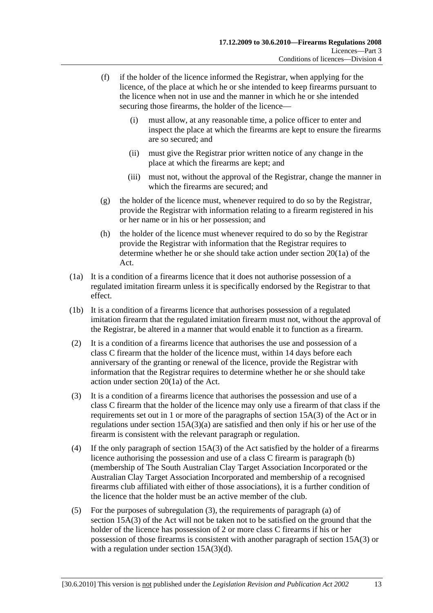- (f) if the holder of the licence informed the Registrar, when applying for the licence, of the place at which he or she intended to keep firearms pursuant to the licence when not in use and the manner in which he or she intended securing those firearms, the holder of the licence—
	- (i) must allow, at any reasonable time, a police officer to enter and inspect the place at which the firearms are kept to ensure the firearms are so secured; and
	- (ii) must give the Registrar prior written notice of any change in the place at which the firearms are kept; and
	- (iii) must not, without the approval of the Registrar, change the manner in which the firearms are secured; and
- (g) the holder of the licence must, whenever required to do so by the Registrar, provide the Registrar with information relating to a firearm registered in his or her name or in his or her possession; and
- (h) the holder of the licence must whenever required to do so by the Registrar provide the Registrar with information that the Registrar requires to determine whether he or she should take action under section 20(1a) of the Act.
- (1a) It is a condition of a firearms licence that it does not authorise possession of a regulated imitation firearm unless it is specifically endorsed by the Registrar to that effect.
- (1b) It is a condition of a firearms licence that authorises possession of a regulated imitation firearm that the regulated imitation firearm must not, without the approval of the Registrar, be altered in a manner that would enable it to function as a firearm.
- (2) It is a condition of a firearms licence that authorises the use and possession of a class C firearm that the holder of the licence must, within 14 days before each anniversary of the granting or renewal of the licence, provide the Registrar with information that the Registrar requires to determine whether he or she should take action under section 20(1a) of the Act.
- (3) It is a condition of a firearms licence that authorises the possession and use of a class C firearm that the holder of the licence may only use a firearm of that class if the requirements set out in 1 or more of the paragraphs of section 15A(3) of the Act or in regulations under section 15A(3)(a) are satisfied and then only if his or her use of the firearm is consistent with the relevant paragraph or regulation.
- (4) If the only paragraph of section 15A(3) of the Act satisfied by the holder of a firearms licence authorising the possession and use of a class C firearm is paragraph (b) (membership of The South Australian Clay Target Association Incorporated or the Australian Clay Target Association Incorporated and membership of a recognised firearms club affiliated with either of those associations), it is a further condition of the licence that the holder must be an active member of the club.
- (5) For the purposes of subregulation (3), the requirements of paragraph (a) of section 15A(3) of the Act will not be taken not to be satisfied on the ground that the holder of the licence has possession of 2 or more class C firearms if his or her possession of those firearms is consistent with another paragraph of section 15A(3) or with a regulation under section 15A(3)(d).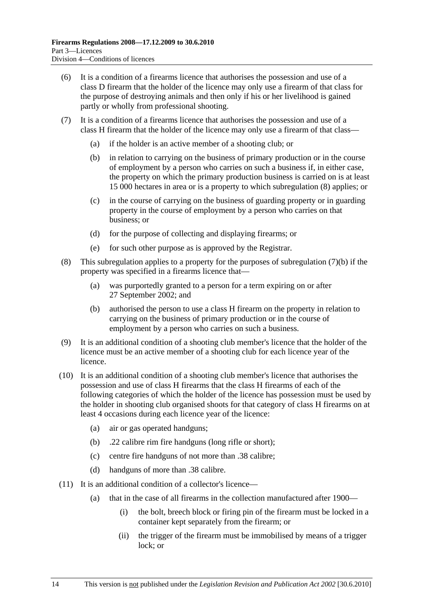- (6) It is a condition of a firearms licence that authorises the possession and use of a class D firearm that the holder of the licence may only use a firearm of that class for the purpose of destroying animals and then only if his or her livelihood is gained partly or wholly from professional shooting.
- (7) It is a condition of a firearms licence that authorises the possession and use of a class H firearm that the holder of the licence may only use a firearm of that class—
	- (a) if the holder is an active member of a shooting club; or
	- (b) in relation to carrying on the business of primary production or in the course of employment by a person who carries on such a business if, in either case, the property on which the primary production business is carried on is at least 15 000 hectares in area or is a property to which subregulation (8) applies; or
	- (c) in the course of carrying on the business of guarding property or in guarding property in the course of employment by a person who carries on that business; or
	- (d) for the purpose of collecting and displaying firearms; or
	- (e) for such other purpose as is approved by the Registrar.
- (8) This subregulation applies to a property for the purposes of subregulation (7)(b) if the property was specified in a firearms licence that—
	- (a) was purportedly granted to a person for a term expiring on or after 27 September 2002; and
	- (b) authorised the person to use a class H firearm on the property in relation to carrying on the business of primary production or in the course of employment by a person who carries on such a business.
- (9) It is an additional condition of a shooting club member's licence that the holder of the licence must be an active member of a shooting club for each licence year of the licence.
- (10) It is an additional condition of a shooting club member's licence that authorises the possession and use of class H firearms that the class H firearms of each of the following categories of which the holder of the licence has possession must be used by the holder in shooting club organised shoots for that category of class H firearms on at least 4 occasions during each licence year of the licence:
	- (a) air or gas operated handguns;
	- (b) .22 calibre rim fire handguns (long rifle or short);
	- (c) centre fire handguns of not more than .38 calibre;
	- (d) handguns of more than .38 calibre.
- (11) It is an additional condition of a collector's licence—
	- (a) that in the case of all firearms in the collection manufactured after 1900—
		- (i) the bolt, breech block or firing pin of the firearm must be locked in a container kept separately from the firearm; or
		- (ii) the trigger of the firearm must be immobilised by means of a trigger lock; or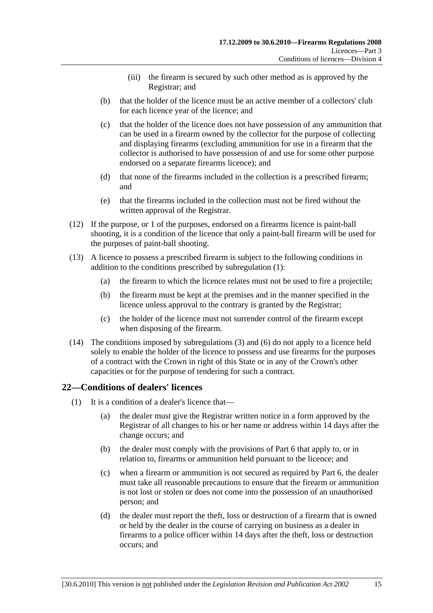- (iii) the firearm is secured by such other method as is approved by the Registrar; and
- (b) that the holder of the licence must be an active member of a collectors' club for each licence year of the licence; and
- (c) that the holder of the licence does not have possession of any ammunition that can be used in a firearm owned by the collector for the purpose of collecting and displaying firearms (excluding ammunition for use in a firearm that the collector is authorised to have possession of and use for some other purpose endorsed on a separate firearms licence); and
- (d) that none of the firearms included in the collection is a prescribed firearm; and
- (e) that the firearms included in the collection must not be fired without the written approval of the Registrar.
- (12) If the purpose, or 1 of the purposes, endorsed on a firearms licence is paint-ball shooting, it is a condition of the licence that only a paint-ball firearm will be used for the purposes of paint-ball shooting.
- (13) A licence to possess a prescribed firearm is subject to the following conditions in addition to the conditions prescribed by subregulation (1):
	- (a) the firearm to which the licence relates must not be used to fire a projectile;
	- (b) the firearm must be kept at the premises and in the manner specified in the licence unless approval to the contrary is granted by the Registrar;
	- (c) the holder of the licence must not surrender control of the firearm except when disposing of the firearm.
- (14) The conditions imposed by subregulations (3) and (6) do not apply to a licence held solely to enable the holder of the licence to possess and use firearms for the purposes of a contract with the Crown in right of this State or in any of the Crown's other capacities or for the purpose of tendering for such a contract.

## **22—Conditions of dealers' licences**

- (1) It is a condition of a dealer's licence that—
	- (a) the dealer must give the Registrar written notice in a form approved by the Registrar of all changes to his or her name or address within 14 days after the change occurs; and
	- (b) the dealer must comply with the provisions of Part 6 that apply to, or in relation to, firearms or ammunition held pursuant to the licence; and
	- (c) when a firearm or ammunition is not secured as required by Part 6, the dealer must take all reasonable precautions to ensure that the firearm or ammunition is not lost or stolen or does not come into the possession of an unauthorised person; and
	- (d) the dealer must report the theft, loss or destruction of a firearm that is owned or held by the dealer in the course of carrying on business as a dealer in firearms to a police officer within 14 days after the theft, loss or destruction occurs; and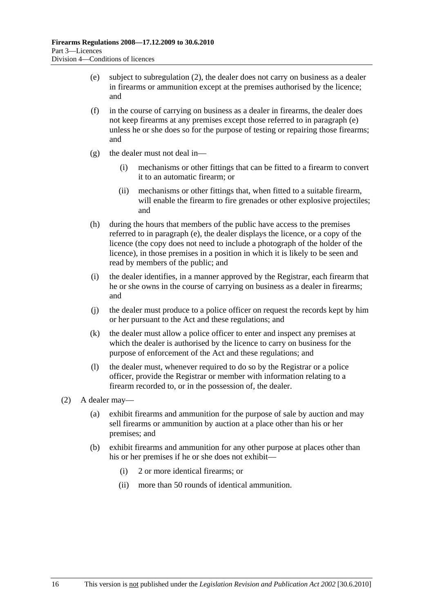- (e) subject to subregulation (2), the dealer does not carry on business as a dealer in firearms or ammunition except at the premises authorised by the licence; and
- (f) in the course of carrying on business as a dealer in firearms, the dealer does not keep firearms at any premises except those referred to in paragraph (e) unless he or she does so for the purpose of testing or repairing those firearms; and
- (g) the dealer must not deal in—
	- (i) mechanisms or other fittings that can be fitted to a firearm to convert it to an automatic firearm; or
	- (ii) mechanisms or other fittings that, when fitted to a suitable firearm, will enable the firearm to fire grenades or other explosive projectiles; and
- (h) during the hours that members of the public have access to the premises referred to in paragraph (e), the dealer displays the licence, or a copy of the licence (the copy does not need to include a photograph of the holder of the licence), in those premises in a position in which it is likely to be seen and read by members of the public; and
- (i) the dealer identifies, in a manner approved by the Registrar, each firearm that he or she owns in the course of carrying on business as a dealer in firearms; and
- (j) the dealer must produce to a police officer on request the records kept by him or her pursuant to the Act and these regulations; and
- (k) the dealer must allow a police officer to enter and inspect any premises at which the dealer is authorised by the licence to carry on business for the purpose of enforcement of the Act and these regulations; and
- (l) the dealer must, whenever required to do so by the Registrar or a police officer, provide the Registrar or member with information relating to a firearm recorded to, or in the possession of, the dealer.
- (2) A dealer may—
	- (a) exhibit firearms and ammunition for the purpose of sale by auction and may sell firearms or ammunition by auction at a place other than his or her premises; and
	- (b) exhibit firearms and ammunition for any other purpose at places other than his or her premises if he or she does not exhibit—
		- (i) 2 or more identical firearms; or
		- (ii) more than 50 rounds of identical ammunition.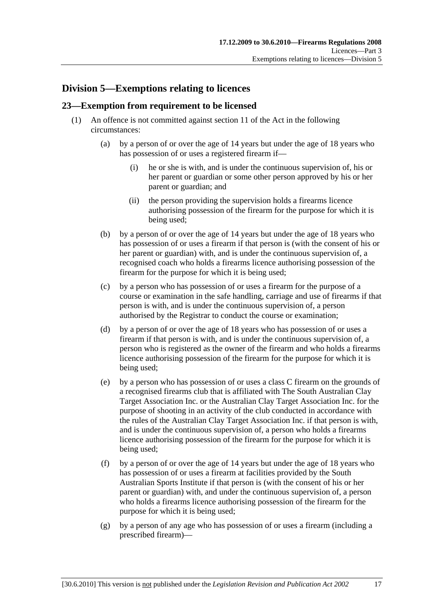## **Division 5—Exemptions relating to licences**

## **23—Exemption from requirement to be licensed**

- (1) An offence is not committed against section 11 of the Act in the following circumstances:
	- (a) by a person of or over the age of 14 years but under the age of 18 years who has possession of or uses a registered firearm if-
		- (i) he or she is with, and is under the continuous supervision of, his or her parent or guardian or some other person approved by his or her parent or guardian; and
		- (ii) the person providing the supervision holds a firearms licence authorising possession of the firearm for the purpose for which it is being used;
	- (b) by a person of or over the age of 14 years but under the age of 18 years who has possession of or uses a firearm if that person is (with the consent of his or her parent or guardian) with, and is under the continuous supervision of, a recognised coach who holds a firearms licence authorising possession of the firearm for the purpose for which it is being used;
	- (c) by a person who has possession of or uses a firearm for the purpose of a course or examination in the safe handling, carriage and use of firearms if that person is with, and is under the continuous supervision of, a person authorised by the Registrar to conduct the course or examination;
	- (d) by a person of or over the age of 18 years who has possession of or uses a firearm if that person is with, and is under the continuous supervision of, a person who is registered as the owner of the firearm and who holds a firearms licence authorising possession of the firearm for the purpose for which it is being used;
	- (e) by a person who has possession of or uses a class C firearm on the grounds of a recognised firearms club that is affiliated with The South Australian Clay Target Association Inc. or the Australian Clay Target Association Inc. for the purpose of shooting in an activity of the club conducted in accordance with the rules of the Australian Clay Target Association Inc. if that person is with, and is under the continuous supervision of, a person who holds a firearms licence authorising possession of the firearm for the purpose for which it is being used;
	- (f) by a person of or over the age of 14 years but under the age of 18 years who has possession of or uses a firearm at facilities provided by the South Australian Sports Institute if that person is (with the consent of his or her parent or guardian) with, and under the continuous supervision of, a person who holds a firearms licence authorising possession of the firearm for the purpose for which it is being used;
	- (g) by a person of any age who has possession of or uses a firearm (including a prescribed firearm)—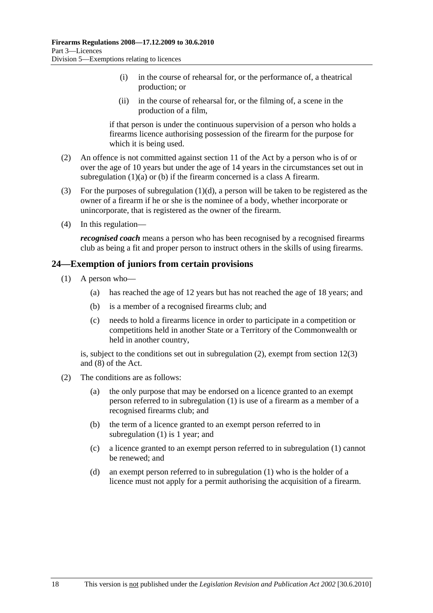- (i) in the course of rehearsal for, or the performance of, a theatrical production; or
- (ii) in the course of rehearsal for, or the filming of, a scene in the production of a film,

if that person is under the continuous supervision of a person who holds a firearms licence authorising possession of the firearm for the purpose for which it is being used.

- (2) An offence is not committed against section 11 of the Act by a person who is of or over the age of 10 years but under the age of 14 years in the circumstances set out in subregulation (1)(a) or (b) if the firearm concerned is a class A firearm.
- (3) For the purposes of subregulation  $(1)(d)$ , a person will be taken to be registered as the owner of a firearm if he or she is the nominee of a body, whether incorporate or unincorporate, that is registered as the owner of the firearm.
- (4) In this regulation—

*recognised coach* means a person who has been recognised by a recognised firearms club as being a fit and proper person to instruct others in the skills of using firearms.

## **24—Exemption of juniors from certain provisions**

- (1) A person who—
	- (a) has reached the age of 12 years but has not reached the age of 18 years; and
	- (b) is a member of a recognised firearms club; and
	- (c) needs to hold a firearms licence in order to participate in a competition or competitions held in another State or a Territory of the Commonwealth or held in another country,

is, subject to the conditions set out in subregulation (2), exempt from section 12(3) and (8) of the Act.

- (2) The conditions are as follows:
	- (a) the only purpose that may be endorsed on a licence granted to an exempt person referred to in subregulation (1) is use of a firearm as a member of a recognised firearms club; and
	- (b) the term of a licence granted to an exempt person referred to in subregulation (1) is 1 year; and
	- (c) a licence granted to an exempt person referred to in subregulation (1) cannot be renewed; and
	- (d) an exempt person referred to in subregulation (1) who is the holder of a licence must not apply for a permit authorising the acquisition of a firearm.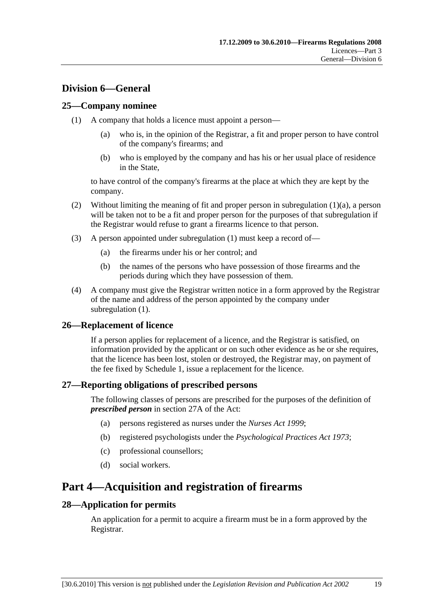## **Division 6—General**

#### **25—Company nominee**

- (1) A company that holds a licence must appoint a person—
	- (a) who is, in the opinion of the Registrar, a fit and proper person to have control of the company's firearms; and
	- (b) who is employed by the company and has his or her usual place of residence in the State,

to have control of the company's firearms at the place at which they are kept by the company.

- (2) Without limiting the meaning of fit and proper person in subregulation (1)(a), a person will be taken not to be a fit and proper person for the purposes of that subregulation if the Registrar would refuse to grant a firearms licence to that person.
- (3) A person appointed under subregulation (1) must keep a record of—
	- (a) the firearms under his or her control; and
	- (b) the names of the persons who have possession of those firearms and the periods during which they have possession of them.
- (4) A company must give the Registrar written notice in a form approved by the Registrar of the name and address of the person appointed by the company under subregulation (1).

#### **26—Replacement of licence**

If a person applies for replacement of a licence, and the Registrar is satisfied, on information provided by the applicant or on such other evidence as he or she requires, that the licence has been lost, stolen or destroyed, the Registrar may, on payment of the fee fixed by Schedule 1, issue a replacement for the licence.

#### **27—Reporting obligations of prescribed persons**

The following classes of persons are prescribed for the purposes of the definition of *prescribed person* in section 27A of the Act:

- (a) persons registered as nurses under the *Nurses Act 1999*;
- (b) registered psychologists under the *Psychological Practices Act 1973*;
- (c) professional counsellors;
- (d) social workers.

## **Part 4—Acquisition and registration of firearms**

#### **28—Application for permits**

An application for a permit to acquire a firearm must be in a form approved by the Registrar.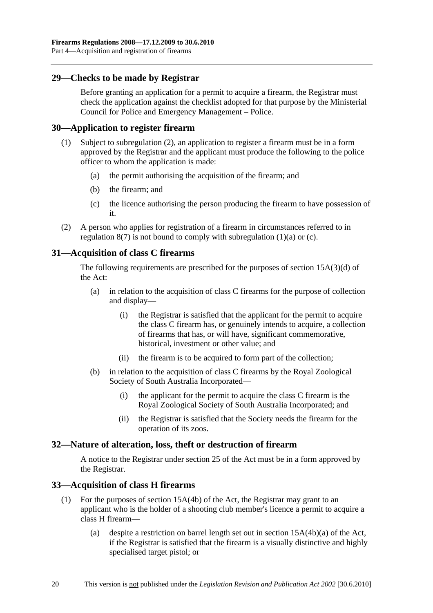## **29—Checks to be made by Registrar**

Before granting an application for a permit to acquire a firearm, the Registrar must check the application against the checklist adopted for that purpose by the Ministerial Council for Police and Emergency Management – Police.

#### **30—Application to register firearm**

- (1) Subject to subregulation (2), an application to register a firearm must be in a form approved by the Registrar and the applicant must produce the following to the police officer to whom the application is made:
	- (a) the permit authorising the acquisition of the firearm; and
	- (b) the firearm; and
	- (c) the licence authorising the person producing the firearm to have possession of it.
- (2) A person who applies for registration of a firearm in circumstances referred to in regulation  $8(7)$  is not bound to comply with subregulation  $(1)(a)$  or  $(c)$ .

## **31—Acquisition of class C firearms**

The following requirements are prescribed for the purposes of section 15A(3)(d) of the Act:

- (a) in relation to the acquisition of class C firearms for the purpose of collection and display—
	- (i) the Registrar is satisfied that the applicant for the permit to acquire the class C firearm has, or genuinely intends to acquire, a collection of firearms that has, or will have, significant commemorative, historical, investment or other value; and
	- (ii) the firearm is to be acquired to form part of the collection;
- (b) in relation to the acquisition of class C firearms by the Royal Zoological Society of South Australia Incorporated—
	- (i) the applicant for the permit to acquire the class C firearm is the Royal Zoological Society of South Australia Incorporated; and
	- (ii) the Registrar is satisfied that the Society needs the firearm for the operation of its zoos.

## **32—Nature of alteration, loss, theft or destruction of firearm**

A notice to the Registrar under section 25 of the Act must be in a form approved by the Registrar.

## **33—Acquisition of class H firearms**

- (1) For the purposes of section 15A(4b) of the Act, the Registrar may grant to an applicant who is the holder of a shooting club member's licence a permit to acquire a class H firearm—
	- (a) despite a restriction on barrel length set out in section 15A(4b)(a) of the Act, if the Registrar is satisfied that the firearm is a visually distinctive and highly specialised target pistol; or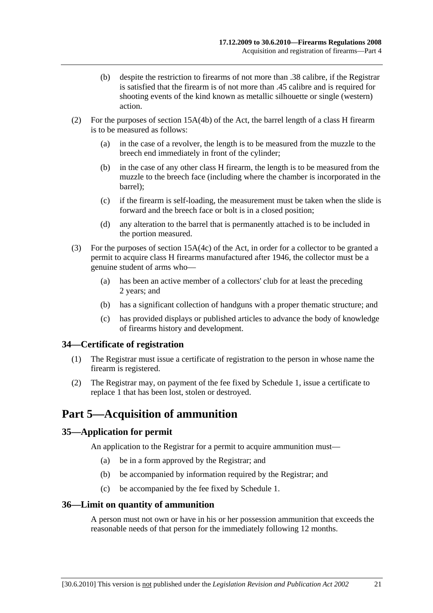- (b) despite the restriction to firearms of not more than .38 calibre, if the Registrar is satisfied that the firearm is of not more than .45 calibre and is required for shooting events of the kind known as metallic silhouette or single (western) action.
- (2) For the purposes of section 15A(4b) of the Act, the barrel length of a class H firearm is to be measured as follows:
	- (a) in the case of a revolver, the length is to be measured from the muzzle to the breech end immediately in front of the cylinder;
	- (b) in the case of any other class H firearm, the length is to be measured from the muzzle to the breech face (including where the chamber is incorporated in the barrel);
	- (c) if the firearm is self-loading, the measurement must be taken when the slide is forward and the breech face or bolt is in a closed position;
	- (d) any alteration to the barrel that is permanently attached is to be included in the portion measured.
- (3) For the purposes of section 15A(4c) of the Act, in order for a collector to be granted a permit to acquire class H firearms manufactured after 1946, the collector must be a genuine student of arms who—
	- (a) has been an active member of a collectors' club for at least the preceding 2 years; and
	- (b) has a significant collection of handguns with a proper thematic structure; and
	- (c) has provided displays or published articles to advance the body of knowledge of firearms history and development.

## **34—Certificate of registration**

- (1) The Registrar must issue a certificate of registration to the person in whose name the firearm is registered.
- (2) The Registrar may, on payment of the fee fixed by Schedule 1, issue a certificate to replace 1 that has been lost, stolen or destroyed.

## **Part 5—Acquisition of ammunition**

## **35—Application for permit**

An application to the Registrar for a permit to acquire ammunition must—

- (a) be in a form approved by the Registrar; and
- (b) be accompanied by information required by the Registrar; and
- (c) be accompanied by the fee fixed by Schedule 1.

#### **36—Limit on quantity of ammunition**

A person must not own or have in his or her possession ammunition that exceeds the reasonable needs of that person for the immediately following 12 months.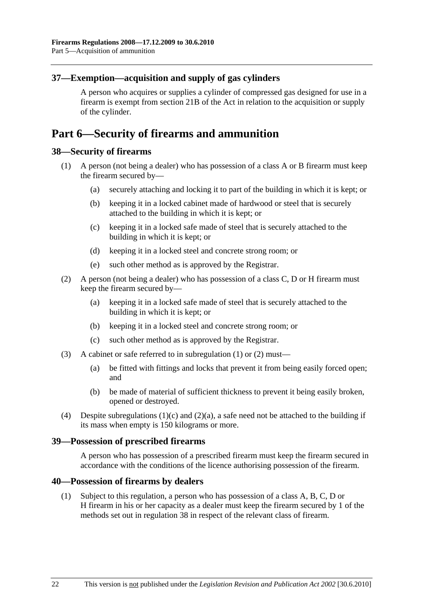## **37—Exemption—acquisition and supply of gas cylinders**

A person who acquires or supplies a cylinder of compressed gas designed for use in a firearm is exempt from section 21B of the Act in relation to the acquisition or supply of the cylinder.

## **Part 6—Security of firearms and ammunition**

## **38—Security of firearms**

- (1) A person (not being a dealer) who has possession of a class A or B firearm must keep the firearm secured by—
	- (a) securely attaching and locking it to part of the building in which it is kept; or
	- (b) keeping it in a locked cabinet made of hardwood or steel that is securely attached to the building in which it is kept; or
	- (c) keeping it in a locked safe made of steel that is securely attached to the building in which it is kept; or
	- (d) keeping it in a locked steel and concrete strong room; or
	- (e) such other method as is approved by the Registrar.
- (2) A person (not being a dealer) who has possession of a class C, D or H firearm must keep the firearm secured by—
	- (a) keeping it in a locked safe made of steel that is securely attached to the building in which it is kept; or
	- (b) keeping it in a locked steel and concrete strong room; or
	- (c) such other method as is approved by the Registrar.
- (3) A cabinet or safe referred to in subregulation (1) or (2) must—
	- (a) be fitted with fittings and locks that prevent it from being easily forced open; and
	- (b) be made of material of sufficient thickness to prevent it being easily broken, opened or destroyed.
- (4) Despite subregulations  $(1)(c)$  and  $(2)(a)$ , a safe need not be attached to the building if its mass when empty is 150 kilograms or more.

#### **39—Possession of prescribed firearms**

A person who has possession of a prescribed firearm must keep the firearm secured in accordance with the conditions of the licence authorising possession of the firearm.

#### **40—Possession of firearms by dealers**

 (1) Subject to this regulation, a person who has possession of a class A, B, C, D or H firearm in his or her capacity as a dealer must keep the firearm secured by 1 of the methods set out in regulation 38 in respect of the relevant class of firearm.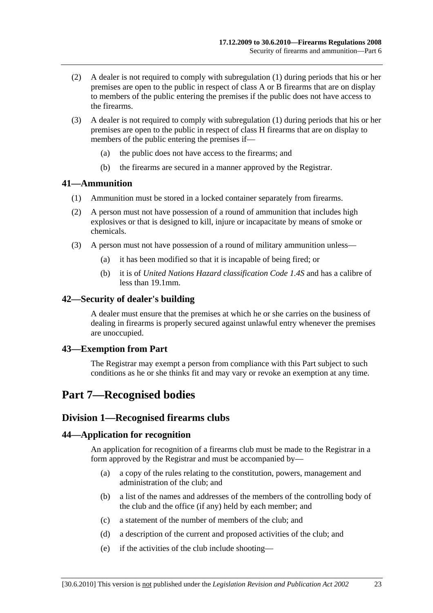- (2) A dealer is not required to comply with subregulation (1) during periods that his or her premises are open to the public in respect of class A or B firearms that are on display to members of the public entering the premises if the public does not have access to the firearms.
- (3) A dealer is not required to comply with subregulation (1) during periods that his or her premises are open to the public in respect of class H firearms that are on display to members of the public entering the premises if—
	- (a) the public does not have access to the firearms; and
	- (b) the firearms are secured in a manner approved by the Registrar.

#### **41—Ammunition**

- (1) Ammunition must be stored in a locked container separately from firearms.
- (2) A person must not have possession of a round of ammunition that includes high explosives or that is designed to kill, injure or incapacitate by means of smoke or chemicals.
- (3) A person must not have possession of a round of military ammunition unless—
	- (a) it has been modified so that it is incapable of being fired; or
	- (b) it is of *United Nations Hazard classification Code 1.4S* and has a calibre of less than 19.1mm.

#### **42—Security of dealer's building**

A dealer must ensure that the premises at which he or she carries on the business of dealing in firearms is properly secured against unlawful entry whenever the premises are unoccupied.

#### **43—Exemption from Part**

The Registrar may exempt a person from compliance with this Part subject to such conditions as he or she thinks fit and may vary or revoke an exemption at any time.

## **Part 7—Recognised bodies**

## **Division 1—Recognised firearms clubs**

#### **44—Application for recognition**

An application for recognition of a firearms club must be made to the Registrar in a form approved by the Registrar and must be accompanied by—

- (a) a copy of the rules relating to the constitution, powers, management and administration of the club; and
- (b) a list of the names and addresses of the members of the controlling body of the club and the office (if any) held by each member; and
- (c) a statement of the number of members of the club; and
- (d) a description of the current and proposed activities of the club; and
- (e) if the activities of the club include shooting—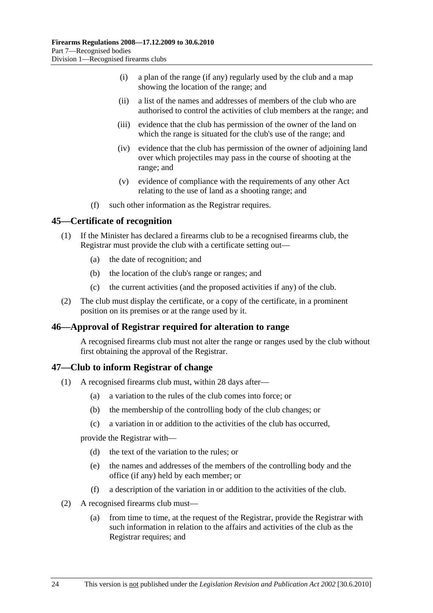- (i) a plan of the range (if any) regularly used by the club and a map showing the location of the range; and
- (ii) a list of the names and addresses of members of the club who are authorised to control the activities of club members at the range; and
- (iii) evidence that the club has permission of the owner of the land on which the range is situated for the club's use of the range; and
- (iv) evidence that the club has permission of the owner of adjoining land over which projectiles may pass in the course of shooting at the range; and
- (v) evidence of compliance with the requirements of any other Act relating to the use of land as a shooting range; and
- (f) such other information as the Registrar requires.

#### **45—Certificate of recognition**

- (1) If the Minister has declared a firearms club to be a recognised firearms club, the Registrar must provide the club with a certificate setting out—
	- (a) the date of recognition; and
	- (b) the location of the club's range or ranges; and
	- (c) the current activities (and the proposed activities if any) of the club.
- (2) The club must display the certificate, or a copy of the certificate, in a prominent position on its premises or at the range used by it.

#### **46—Approval of Registrar required for alteration to range**

A recognised firearms club must not alter the range or ranges used by the club without first obtaining the approval of the Registrar.

#### **47—Club to inform Registrar of change**

- (1) A recognised firearms club must, within 28 days after—
	- (a) a variation to the rules of the club comes into force; or
	- (b) the membership of the controlling body of the club changes; or
	- (c) a variation in or addition to the activities of the club has occurred,

provide the Registrar with—

- (d) the text of the variation to the rules; or
- (e) the names and addresses of the members of the controlling body and the office (if any) held by each member; or
- (f) a description of the variation in or addition to the activities of the club.
- (2) A recognised firearms club must—
	- (a) from time to time, at the request of the Registrar, provide the Registrar with such information in relation to the affairs and activities of the club as the Registrar requires; and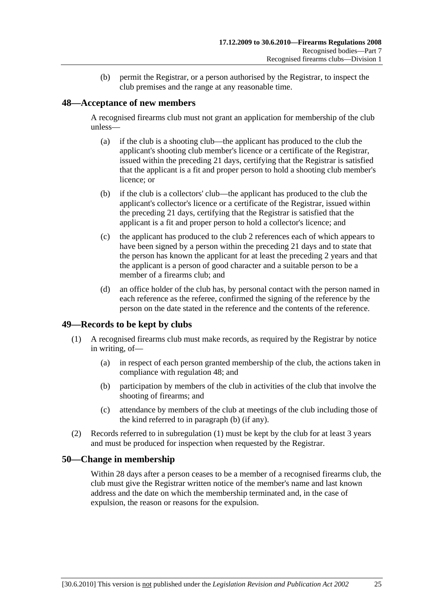(b) permit the Registrar, or a person authorised by the Registrar, to inspect the club premises and the range at any reasonable time.

## **48—Acceptance of new members**

A recognised firearms club must not grant an application for membership of the club unless—

- (a) if the club is a shooting club—the applicant has produced to the club the applicant's shooting club member's licence or a certificate of the Registrar, issued within the preceding 21 days, certifying that the Registrar is satisfied that the applicant is a fit and proper person to hold a shooting club member's licence; or
- (b) if the club is a collectors' club—the applicant has produced to the club the applicant's collector's licence or a certificate of the Registrar, issued within the preceding 21 days, certifying that the Registrar is satisfied that the applicant is a fit and proper person to hold a collector's licence; and
- (c) the applicant has produced to the club 2 references each of which appears to have been signed by a person within the preceding 21 days and to state that the person has known the applicant for at least the preceding 2 years and that the applicant is a person of good character and a suitable person to be a member of a firearms club; and
- (d) an office holder of the club has, by personal contact with the person named in each reference as the referee, confirmed the signing of the reference by the person on the date stated in the reference and the contents of the reference.

## **49—Records to be kept by clubs**

- (1) A recognised firearms club must make records, as required by the Registrar by notice in writing, of—
	- (a) in respect of each person granted membership of the club, the actions taken in compliance with regulation 48; and
	- (b) participation by members of the club in activities of the club that involve the shooting of firearms; and
	- (c) attendance by members of the club at meetings of the club including those of the kind referred to in paragraph (b) (if any).
- (2) Records referred to in subregulation (1) must be kept by the club for at least 3 years and must be produced for inspection when requested by the Registrar.

#### **50—Change in membership**

Within 28 days after a person ceases to be a member of a recognised firearms club, the club must give the Registrar written notice of the member's name and last known address and the date on which the membership terminated and, in the case of expulsion, the reason or reasons for the expulsion.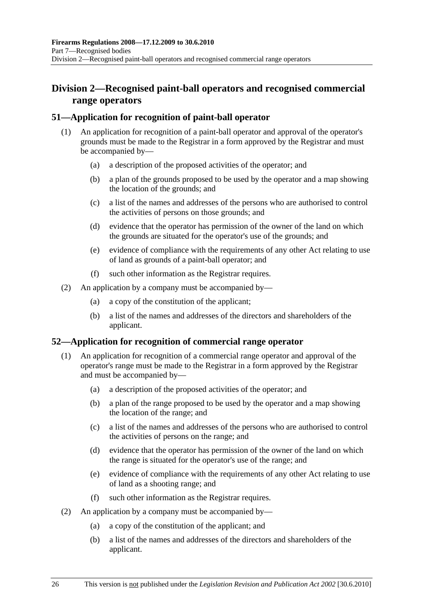## **Division 2—Recognised paint-ball operators and recognised commercial range operators**

## **51—Application for recognition of paint-ball operator**

- (1) An application for recognition of a paint-ball operator and approval of the operator's grounds must be made to the Registrar in a form approved by the Registrar and must be accompanied by—
	- (a) a description of the proposed activities of the operator; and
	- (b) a plan of the grounds proposed to be used by the operator and a map showing the location of the grounds; and
	- (c) a list of the names and addresses of the persons who are authorised to control the activities of persons on those grounds; and
	- (d) evidence that the operator has permission of the owner of the land on which the grounds are situated for the operator's use of the grounds; and
	- (e) evidence of compliance with the requirements of any other Act relating to use of land as grounds of a paint-ball operator; and
	- (f) such other information as the Registrar requires.
- (2) An application by a company must be accompanied by—
	- (a) a copy of the constitution of the applicant;
	- (b) a list of the names and addresses of the directors and shareholders of the applicant.

## **52—Application for recognition of commercial range operator**

- (1) An application for recognition of a commercial range operator and approval of the operator's range must be made to the Registrar in a form approved by the Registrar and must be accompanied by—
	- (a) a description of the proposed activities of the operator; and
	- (b) a plan of the range proposed to be used by the operator and a map showing the location of the range; and
	- (c) a list of the names and addresses of the persons who are authorised to control the activities of persons on the range; and
	- (d) evidence that the operator has permission of the owner of the land on which the range is situated for the operator's use of the range; and
	- (e) evidence of compliance with the requirements of any other Act relating to use of land as a shooting range; and
	- (f) such other information as the Registrar requires.
- (2) An application by a company must be accompanied by—
	- (a) a copy of the constitution of the applicant; and
	- (b) a list of the names and addresses of the directors and shareholders of the applicant.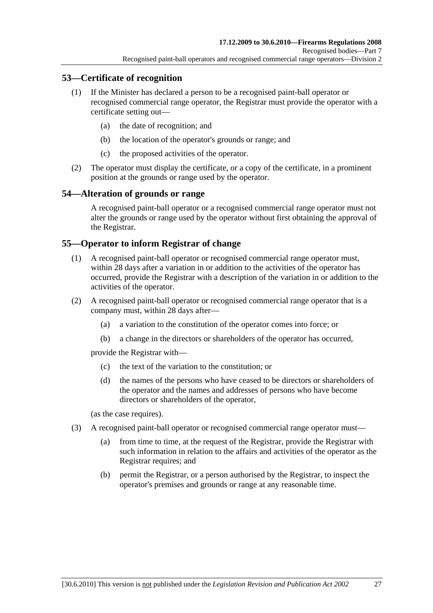## **53—Certificate of recognition**

- (1) If the Minister has declared a person to be a recognised paint-ball operator or recognised commercial range operator, the Registrar must provide the operator with a certificate setting out—
	- (a) the date of recognition; and
	- (b) the location of the operator's grounds or range; and
	- (c) the proposed activities of the operator.
- (2) The operator must display the certificate, or a copy of the certificate, in a prominent position at the grounds or range used by the operator.

## **54—Alteration of grounds or range**

A recognised paint-ball operator or a recognised commercial range operator must not alter the grounds or range used by the operator without first obtaining the approval of the Registrar.

## **55—Operator to inform Registrar of change**

- (1) A recognised paint-ball operator or recognised commercial range operator must, within 28 days after a variation in or addition to the activities of the operator has occurred, provide the Registrar with a description of the variation in or addition to the activities of the operator.
- (2) A recognised paint-ball operator or recognised commercial range operator that is a company must, within 28 days after—
	- (a) a variation to the constitution of the operator comes into force; or
	- (b) a change in the directors or shareholders of the operator has occurred,

provide the Registrar with—

- (c) the text of the variation to the constitution; or
- (d) the names of the persons who have ceased to be directors or shareholders of the operator and the names and addresses of persons who have become directors or shareholders of the operator,

(as the case requires).

- (3) A recognised paint-ball operator or recognised commercial range operator must—
	- (a) from time to time, at the request of the Registrar, provide the Registrar with such information in relation to the affairs and activities of the operator as the Registrar requires; and
	- (b) permit the Registrar, or a person authorised by the Registrar, to inspect the operator's premises and grounds or range at any reasonable time.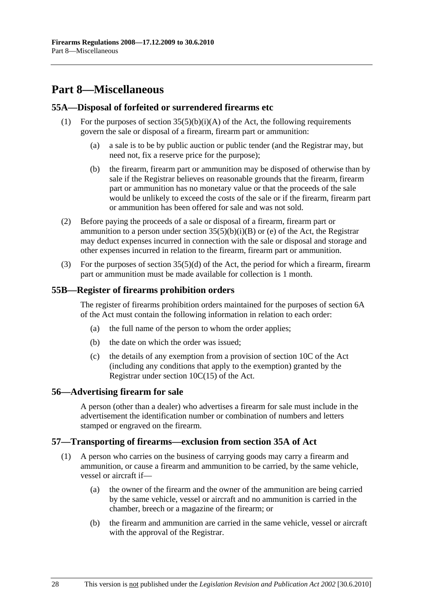# **Part 8—Miscellaneous**

#### **55A—Disposal of forfeited or surrendered firearms etc**

- (1) For the purposes of section  $35(5)(b)(i)(A)$  of the Act, the following requirements govern the sale or disposal of a firearm, firearm part or ammunition:
	- (a) a sale is to be by public auction or public tender (and the Registrar may, but need not, fix a reserve price for the purpose);
	- (b) the firearm, firearm part or ammunition may be disposed of otherwise than by sale if the Registrar believes on reasonable grounds that the firearm, firearm part or ammunition has no monetary value or that the proceeds of the sale would be unlikely to exceed the costs of the sale or if the firearm, firearm part or ammunition has been offered for sale and was not sold.
- (2) Before paying the proceeds of a sale or disposal of a firearm, firearm part or ammunition to a person under section  $35(5)(b)(i)(B)$  or (e) of the Act, the Registrar may deduct expenses incurred in connection with the sale or disposal and storage and other expenses incurred in relation to the firearm, firearm part or ammunition.
- (3) For the purposes of section  $35(5)(d)$  of the Act, the period for which a firearm, firearm part or ammunition must be made available for collection is 1 month.

#### **55B—Register of firearms prohibition orders**

The register of firearms prohibition orders maintained for the purposes of section 6A of the Act must contain the following information in relation to each order:

- (a) the full name of the person to whom the order applies;
- (b) the date on which the order was issued;
- (c) the details of any exemption from a provision of section 10C of the Act (including any conditions that apply to the exemption) granted by the Registrar under section 10C(15) of the Act.

#### **56—Advertising firearm for sale**

A person (other than a dealer) who advertises a firearm for sale must include in the advertisement the identification number or combination of numbers and letters stamped or engraved on the firearm.

## **57—Transporting of firearms—exclusion from section 35A of Act**

- (1) A person who carries on the business of carrying goods may carry a firearm and ammunition, or cause a firearm and ammunition to be carried, by the same vehicle, vessel or aircraft if—
	- (a) the owner of the firearm and the owner of the ammunition are being carried by the same vehicle, vessel or aircraft and no ammunition is carried in the chamber, breech or a magazine of the firearm; or
	- (b) the firearm and ammunition are carried in the same vehicle, vessel or aircraft with the approval of the Registrar.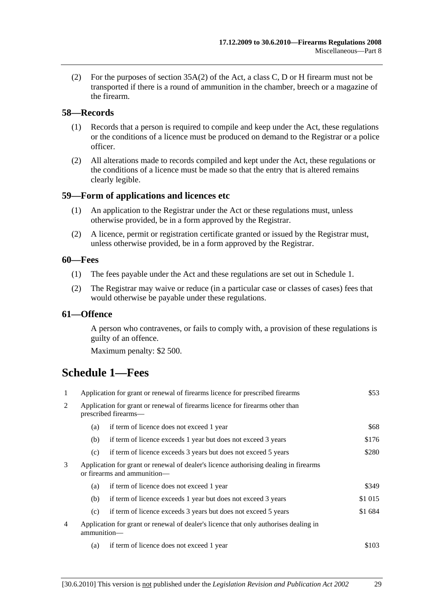(2) For the purposes of section 35A(2) of the Act, a class C, D or H firearm must not be transported if there is a round of ammunition in the chamber, breech or a magazine of the firearm.

#### **58—Records**

- (1) Records that a person is required to compile and keep under the Act, these regulations or the conditions of a licence must be produced on demand to the Registrar or a police officer.
- (2) All alterations made to records compiled and kept under the Act, these regulations or the conditions of a licence must be made so that the entry that is altered remains clearly legible.

#### **59—Form of applications and licences etc**

- (1) An application to the Registrar under the Act or these regulations must, unless otherwise provided, be in a form approved by the Registrar.
- (2) A licence, permit or registration certificate granted or issued by the Registrar must, unless otherwise provided, be in a form approved by the Registrar.

#### **60—Fees**

- (1) The fees payable under the Act and these regulations are set out in Schedule 1.
- (2) The Registrar may waive or reduce (in a particular case or classes of cases) fees that would otherwise be payable under these regulations.

#### **61—Offence**

A person who contravenes, or fails to comply with, a provision of these regulations is guilty of an offence.

Maximum penalty: \$2 500.

## **Schedule 1—Fees**

| 1 | Application for grant or renewal of firearms licence for prescribed firearms                                        |                                                                | \$53    |
|---|---------------------------------------------------------------------------------------------------------------------|----------------------------------------------------------------|---------|
| 2 | Application for grant or renewal of firearms licence for firearms other than<br>prescribed firearms—                |                                                                |         |
|   | (a)                                                                                                                 | if term of licence does not exceed 1 year                      | \$68    |
|   | (b)                                                                                                                 | if term of licence exceeds 1 year but does not exceed 3 years  | \$176   |
|   | (c)                                                                                                                 | if term of licence exceeds 3 years but does not exceed 5 years | \$280   |
| 3 | Application for grant or renewal of dealer's licence authorising dealing in firearms<br>or firearms and ammunition- |                                                                |         |
|   | (a)                                                                                                                 | if term of licence does not exceed 1 year                      | \$349   |
|   | (b)                                                                                                                 | if term of licence exceeds 1 year but does not exceed 3 years  | \$1 015 |
|   | (c)                                                                                                                 | if term of licence exceeds 3 years but does not exceed 5 years | \$1 684 |
| 4 | Application for grant or renewal of dealer's licence that only authorises dealing in<br>ammunition-                 |                                                                |         |
|   | (a)                                                                                                                 | if term of licence does not exceed 1 year                      | \$103   |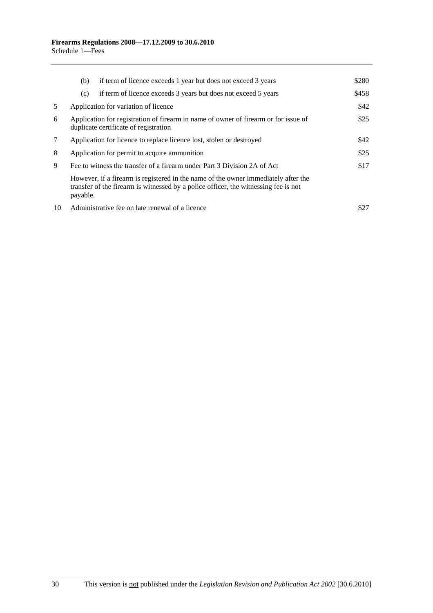|    | if term of licence exceeds 1 year but does not exceed 3 years<br>(b)                                                                                                                  | \$280 |  |
|----|---------------------------------------------------------------------------------------------------------------------------------------------------------------------------------------|-------|--|
|    | if term of licence exceeds 3 years but does not exceed 5 years<br>(c)                                                                                                                 | \$458 |  |
| 5  | Application for variation of licence                                                                                                                                                  | \$42  |  |
| 6  | \$25<br>Application for registration of firearm in name of owner of firearm or for issue of<br>duplicate certificate of registration                                                  |       |  |
| 7  | Application for licence to replace licence lost, stolen or destroyed                                                                                                                  |       |  |
| 8  | Application for permit to acquire ammunition                                                                                                                                          |       |  |
| 9  | Fee to witness the transfer of a firearm under Part 3 Division 2A of Act                                                                                                              |       |  |
|    | However, if a firearm is registered in the name of the owner immediately after the<br>transfer of the firearm is witnessed by a police officer, the witnessing fee is not<br>payable. |       |  |
| 10 | Administrative fee on late renewal of a licence                                                                                                                                       | \$27  |  |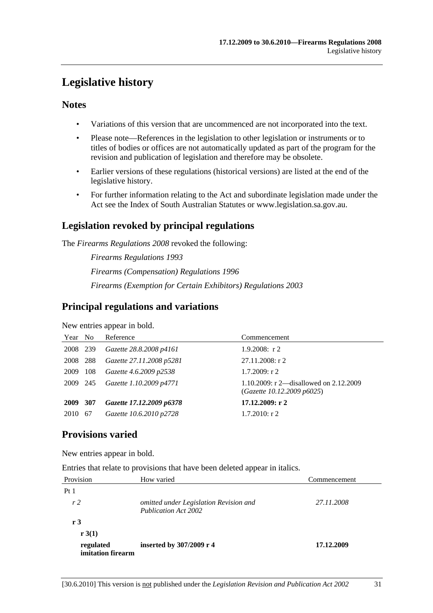## **Legislative history**

#### **Notes**

- Variations of this version that are uncommenced are not incorporated into the text.
- Please note—References in the legislation to other legislation or instruments or to titles of bodies or offices are not automatically updated as part of the program for the revision and publication of legislation and therefore may be obsolete.
- Earlier versions of these regulations (historical versions) are listed at the end of the legislative history.
- For further information relating to the Act and subordinate legislation made under the Act see the Index of South Australian Statutes or www.legislation.sa.gov.au.

## **Legislation revoked by principal regulations**

The *Firearms Regulations 2008* revoked the following:

*Firearms Regulations 1993 Firearms (Compensation) Regulations 1996 Firearms (Exemption for Certain Exhibitors) Regulations 2003*

## **Principal regulations and variations**

New entries appear in bold.

| Year No  |       | Reference                | Commencement                                                         |
|----------|-------|--------------------------|----------------------------------------------------------------------|
| 2008 239 |       | Gazette 28.8.2008 p4161  | $1.9.2008$ : r 2                                                     |
| 2008     | - 288 | Gazette 27.11.2008 p5281 | 27.11.2008: r 2                                                      |
| 2009     | 108   | Gazette 4.6.2009 p2538   | $1.7.2009$ : r 2                                                     |
| 2009 245 |       | Gazette 1.10.2009 p4771  | 1.10.2009: r 2—disallowed on 2.12.2009<br>(Gazette 10.12.2009 p6025) |
| 2009 307 |       | Gazette 17.12.2009 p6378 | 17.12.2009: r2                                                       |
| 2010     | 67    | Gazette 10.6.2010 p2728  | $1.7.2010$ : r 2                                                     |

## **Provisions varied**

New entries appear in bold.

Entries that relate to provisions that have been deleted appear in italics.

| Provision                      | How varied                                                            | Commencement |
|--------------------------------|-----------------------------------------------------------------------|--------------|
| Pt <sub>1</sub>                |                                                                       |              |
| r <sub>2</sub>                 | omitted under Legislation Revision and<br><b>Publication Act 2002</b> | 27.11.2008   |
| r 3                            |                                                                       |              |
| r 3(1)                         |                                                                       |              |
| regulated<br>imitation firearm | inserted by 307/2009 r 4                                              | 17.12.2009   |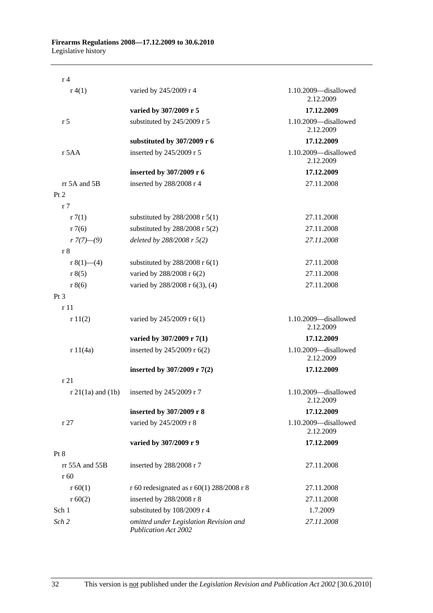| r <sub>4</sub>         |                                                                       |                                   |
|------------------------|-----------------------------------------------------------------------|-----------------------------------|
| r(4(1))                | varied by 245/2009 r 4                                                | 1.10.2009-disallowed<br>2.12.2009 |
|                        | varied by 307/2009 r 5                                                | 17.12.2009                        |
| r <sub>5</sub>         | substituted by 245/2009 r 5                                           | 1.10.2009-disallowed<br>2.12.2009 |
|                        | substituted by 307/2009 r 6                                           | 17.12.2009                        |
| r 5AA                  | inserted by 245/2009 r 5                                              | 1.10.2009-disallowed<br>2.12.2009 |
|                        | inserted by 307/2009 r 6                                              | 17.12.2009                        |
| rr 5A and 5B           | inserted by 288/2008 r 4                                              | 27.11.2008                        |
| Pt 2                   |                                                                       |                                   |
| r <sub>7</sub>         |                                                                       |                                   |
| r7(1)                  | substituted by $288/2008$ r $5(1)$                                    | 27.11.2008                        |
| r7(6)                  | substituted by $288/2008$ r $5(2)$                                    | 27.11.2008                        |
| $r \frac{7(7)-(9)}{2}$ | deleted by 288/2008 r 5(2)                                            | 27.11.2008                        |
| r <sub>8</sub>         |                                                                       |                                   |
| r $8(1)$ —(4)          | substituted by $288/2008$ r $6(1)$                                    | 27.11.2008                        |
| r 8(5)                 | varied by 288/2008 r 6(2)                                             | 27.11.2008                        |
| r 8(6)                 | varied by 288/2008 r 6(3), (4)                                        | 27.11.2008                        |
| $Pt\,3$                |                                                                       |                                   |
| r11                    |                                                                       |                                   |
| r11(2)                 | varied by 245/2009 r 6(1)                                             | 1.10.2009-disallowed<br>2.12.2009 |
|                        | varied by 307/2009 r 7(1)                                             | 17.12.2009                        |
| r 11(4a)               | inserted by 245/2009 r 6(2)                                           | 1.10.2009-disallowed<br>2.12.2009 |
|                        | inserted by 307/2009 r 7(2)                                           | 17.12.2009                        |
| r 21                   |                                                                       |                                   |
| $r 21(1a)$ and $(1b)$  | inserted by 245/2009 r 7                                              | 1.10.2009-disallowed<br>2.12.2009 |
|                        | inserted by 307/2009 r 8                                              | 17.12.2009                        |
| r27                    | varied by 245/2009 r 8                                                | 1.10.2009-disallowed<br>2.12.2009 |
|                        | varied by 307/2009 r 9                                                | 17.12.2009                        |
| Pt 8                   |                                                                       |                                   |
| $rr$ 55A and 55B       | inserted by 288/2008 r 7                                              | 27.11.2008                        |
| r 60                   |                                                                       |                                   |
| r 60(1)                | r 60 redesignated as r 60(1) 288/2008 r 8                             | 27.11.2008                        |
| r 60(2)                | inserted by 288/2008 r 8                                              | 27.11.2008                        |
| Sch 1                  | substituted by 108/2009 r 4                                           | 1.7.2009                          |
| Sch 2                  | omitted under Legislation Revision and<br><b>Publication Act 2002</b> | 27.11.2008                        |